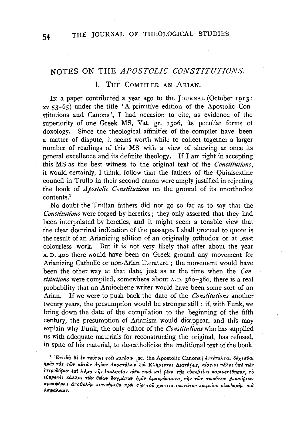# NOTES ON THE *APOSTOLIC CONSTITUTIONS.*

## I. THE COMPILER AN ARIAN.

IN a paper contributed a year ago to the JOURNAL (October 1913: xv 53-65) under the title 'A primitive edition of the Apostolic Constitutions and Canons ', I had occasion to cite, as evidence of the superiority of one Greek MS, Vat. gr. 1506, its peculiar forms of doxology. Since the theological affinities of the compiler have been a matter of dispute, it seems worth while to collect together a larger number of readings of this MS with a view of shewing at once its general excellence and its definite theology. If I am right in accepting this MS as the best witness to the original text of the *Constitutions,*  it would certainly, I think, follow that the fathers of the Quinisextine council in Trullo in their second canon were amply justified in rejecting the book of *Apostolic Constitutions* on the ground of its unorthodox contents.1

No doubt the Tnillan fathers did not go so far as to say that the *Constitutions* were forged by heretics; they only asserted that they had been interpolated by heretics, and it might seem a tenable view that the clear doctrinal indication of the passages I shall proceed to quote is the result of an Arianizing edition of an originally orthodox or at least colourless work. But it is not very likely that after about the year A. D. 400 there would have been on Greek ground any movement for Arianizing Catholic or non-Arian literature ; the movement would have been the other way at that date, just as at the time when the *Constitutions* were compiled, somewhere about A. D. 360-380, there is a real probability that an Antiochene writer would have been some sort of an Arian. If we were to push back the date of the *Constitutions* another twenty years, the presumption would be stronger still : if, with Funk, we bring down the date of the compilation to the beginning of the fifth century, the presumption of Arianism would disappear, and this may explain why Funk, the only editor of the *Constitutions* who has supplied us with adequate materials for reconstructing the original, has refused, in spite of his material, to de-catholicize the traditional text of the book.

<sup>1</sup> 'Επειδή δε έν τούτοις τοις κανόσιν [sc. the Apostolic Canons] έντέταλται δέχεσθαι  $\eta$ μας τας *των αύτων αγίων αποστόλων δια Κλήμεντος Διατάξεις, αίστισι πάλαι ύπο των h•poM(ow* E1Tl *A.6µ11* Ti)• *E1<1tA.71<1ia< v66a Ttv.l* 1tal *[Eva* Ti)• *•v<l•fJ•ias 1Tap•veTeli71<1av, TO*  EV1TpE11~s **H<ii\i\os** *TWv 8Elruv Bo7µ<iTWV fiµL11 dµ.avpWuavTa, TTJv TWv* **TOtoVTOJV** A.1.aT6.£Ew~ ~pOU'f'OPOJS *a1TofJoA.i)v 1Tf1'0t'fiµ•6a 1Tpos Ti)v TOV XP«iTta:'tJ<OJTaTOV 1TOtµvfov ol1to5oµi)v* 1tal *ασφάλειαν.*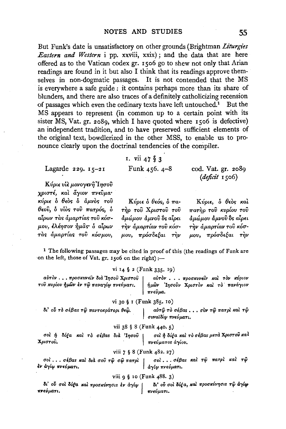But Funk's date is unsatisfactory on other grounds (Brightman Liturgies Eastern and Western i pp. xxviii, xxix); and the data that are here offered as to the Vatican codex gr. 1506 go to shew not only that Arian readings are found in it but also I think that its readings approve themselves in non-dogmatic passages. It is not contended that the MS is everywhere a safe guide : it contains perhaps more than its share of blunders, and there are also traces of a definitely catholicizing recension of passages which even the ordinary texts have left untouched.<sup>1</sup> But the MS appears to represent (in common up to a certain point with its sister MS, Vat. gr. 2089, which I have quoted where 1506 is defective) an independent tradition, and to have preserved sufficient elements of the original text, bowdlerized in the other MSS, to enable us to pronounce clearly upon the doctrinal tendencies of the compiler.

# 1. vii 47 § 3

Funk  $456.4 - 8$ 

Lagarde 229.  $15-21$ 

cod. Vat. gr. 2089 (deficit 1506)

Κύριε υίε μονογενή Τησού χριστέ, και άγιον πνεύμα· κύριε δ θεός δ άμνος του θεού, ο νίος του πατρός, ο αίρων τας άμαρτίας του κόσμου, έλέησον ήμας δ αίρων τάς άμαρτίας του κόσμου,

Κύριε ο θεός, ο πατήρ του Χριστου του άμώμου άμνοῦ ὃς αἶρει τὴν ἁμαρτίαν τοῦ κόσμου, πρόσδεξαι την

Κύριε, ο θεος και πατήρ του κυρίου του άμώμου άμνου δε αίρει την άμαρτίαν του κόσμου, πρόσδεξαι την

<sup>1</sup> The following passages may be cited in proof of this (the readings of Funk are on the left, those of Vat. gr. 1506 on the right) :-

## vi 14 § 2 (Funk 335, 19)

αύτον... προσκυνείν διά Ίησου Χριστου αύτον... προσκυνείν και τον κύριον του κυρίου ήμων έν τω παναγίω πνεύματι. ήμων Ίησούν Χριστον και το πανάγιον | πνεῦμα.

### vi 30 § 1 (Funk 385. 10)

δι' ού το σέβας τω παντοκράτορι θεώ.

αὐτῷ τὸ σέβαs . . . σὺν τῷ πατρὶ καὶ τῷ | συναϊδίφ πνεύματι.

### vii 38 § 8 (Funk 440. 5)

σοί ή δόξα και το σέβας διά Ίησου σοὶ ἡ δόξα καὶ τὸ σέβας μετὰ Χριστοῦ καλ Χριστού. πνεύματος άγίου.

#### viii 7 § 8 (Funk 482. 27)

σοί... σέβας και τω πατρι και τω σοί... σέβας και διά σου τω σω πατρι έν άγίφ πνεύματι. άγίω πνεύματι.

### viii 9 § 10 (Funk 488. 3)

δι' ού σοι δόξα και προσκύνησις έν άγίω δι' ού σοι δόξα, και προσκύνησις τω άγίω πνεύματι. πνεύματι.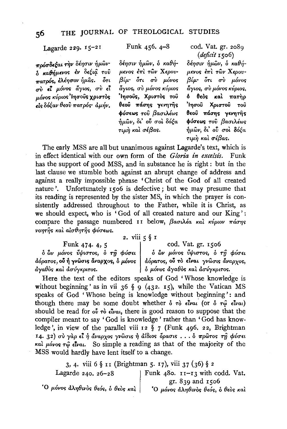Lagarde 229. 15-21

πρόσδεξαι την δέησιν ήμων· δ καθήμενος έν δεξιά του πατρός, ελέησον ήμας. ότι σύ εί μόνος άγιος, σύ εί μόνος κύριος Ιησούς χριστός είς δόξαν θεού πατρός άμήν. Funk 456.4-8

δέησιν ήμων, ο καθήμενος έπι των Χερουβίμ· ότι σύ μόνος άγιος, σύ μόνος κύριος Ίησούς, Χριστός του θεού πάσης γενητής φύσεως του βασιλέως ημών, δι' ού σοι δόξα τιμὴ καὶ σέβας.

cod. Vat. gr. 2089 (deficit 1506)

δέησιν ήμων, ο καθήμενος έπι των Χερουβίμ· ότι σύ μόνος άγιος, σύ μόνος κύριος, δ θεός και πατήρ Ίησοῦ Χριστοῦ τοῦ θεού πάσης γενητής φύσεως του βασιλέως  $ημων$ , δι' ού σοι δόξα τιμή και σέβας.

The early MSS are all but unanimous against Lagarde's text, which is in effect identical with our own form of the Gloria in excelsis. Funk has the support of good MSS, and in substance he is right : but in the last clause we stumble both against an abrupt change of address and against a really impossible phrase 'Christ of the God of all created nature'. Unfortunately 1506 is defective; but we may presume that its reading is represented by the sister MS, in which the prayer is consistently addressed throughout to the Father, while it is Christ, as we should expect, who is 'God of all created nature and our King': compare the passage numbered  $I1$  below,  $\beta$ aou $\lambda$ έα και κύριον πάσης νοητής και αισθητής φύσεως.

2. viii  $5 \S 1$ 

Funk 474. 4, 5 δών μόνος ΰψιστος, δ τη φύσει άόρατος, ού ή γνώσις άναρχος, δ μόνος | άγαθός και ασύγκριτος.

cod. Vat. gr. 1506

δ ὢν μόνος ὖψιστος, δ τη φύσει άόρατος, ού το είναι γνώσις άναρχος, **δ** μόνος άγαθός και ασύγκριτος.

Here the text of the editors speaks of God 'Whose knowledge is without beginning' as in vii 36 § 9 (432. 15), while the Vatican MS speaks of God 'Whose being is knowledge without beginning': and though there may be some doubt whether  $\delta \tau \delta \epsilon \hat{i} \nu \alpha \hat{i}$  (or  $\delta \tau \hat{\varphi} \epsilon \hat{i} \nu \alpha \hat{i}$ ) should be read for  $\omega \hat{i}$  rò  $\epsilon \hat{i}$  ratio there is good reason to suppose that the compiler meant to say 'God is knowledge' rather than 'God has knowledge', in view of the parallel viii 12 § 7 (Funk 496. 22, Brightman 14. 32) σύ γάρ εί ή άναρχος γνώσις ή άΐδιος δρασις ... δ πρώτος τη φύσει και μόνος τω είναι. So simple a reading as that of the majority of the MSS would hardly have lent itself to a change.

3, 4. viii 6 § 11 (Brightman 5. 17), viii 37 (36) § 2 Funk 480. 11-13 with codd. Vat. Lagarde 240. 26-28 gr. 839 and 1506 'Ο μόνος άληθινός θεός, ό θεός και | Ο μόνος άληθινός θεός, ό θεός και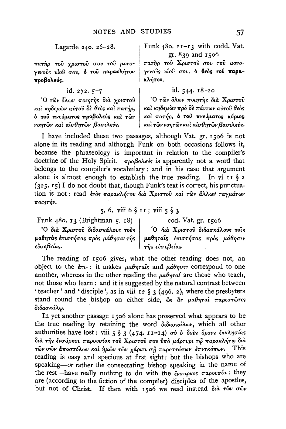## Lagarde 240. 26-28.

πατήρ του χριστού σου του μονογενούς υίου σου, ό του παρακλήτου προβολεύς.

id. 272. 5-7

Ό τῶν ὅλων ποιητής διὰ χριστοῦ και κηδεμών αύτου δε θεός και πατήρ, δ του πνεύματος προβολεύς και των νοητών και αίσθητών βασιλεύς.

## Funk 480. 11-13 with codd. Vat. gr. 839 and 1506

πατήρ του Χριστού σου του μονογενούς νίου σου, ό θεός του παρακλήτου.

## id. 544. 18-20

Ο τών όλων ποιητής διά Χριστού και κηδεμών προ δε πάντων αύτου θεος και πατήρ, ό του πνεύματος κύριος και των νοητών και αισθητών βασιλεύς.

I have included these two passages, although Vat. gr. 1506 is not alone in its reading and although Funk on both occasions follows it, because the phraseology is important in relation to the compiler's doctrine of the Holy Spirit.  $\pi\rho_0\beta_0\lambda\epsilon\acute{\nu}s$  is apparently not a word that belongs to the compiler's vocabulary: and in his case that argument alone is almost enough to establish the true reading. In vi II  $\S$  2 (325. 15) I do not doubt that, though Funk's text is correct, his punctuation is not: read ένος παρακλήτου διά Χριστού και των άλλων ταγμάτων ποιητήν.

5, 6. viii 6 § 11; viii 5 § 3

Funk 480. 13 (Brightman 5. 18)

cod. Vat. gr. 1506

<sup>'</sup>Ο διά Χριστού διδασκάλους τους (Ο διά Χριστού διδασκάλους τους μαθητάς έπιστήσας προς μάθησιν εύσεβείας.<br>εύσεβείας.<br>εύσεβείας.

The reading of 1506 gives, what the other reading does not, an object to the  $\epsilon \pi \nu$ : it makes  $\mu \alpha \theta \eta \tau \alpha \hat{\imath} s$  and  $\mu \acute{\alpha} \theta \eta \sigma \nu$  correspond to one another, whereas in the other reading the  $\mu a \theta \eta \tau a i$  are those who teach, not those who learn: and it is suggested by the natural contrast between 'teacher' and 'disciple', as in viii 12  $\S$  3 (496. 2), where the presbyters stand round the bishop on either side,  $\omega_S$   $\partial \nu$   $\mu a \theta \eta \tau a \lambda$   $\pi a \rho \epsilon \sigma \tau \hat{\omega} \tau \epsilon s$ διδασκάλω.

In yet another passage 1506 alone has preserved what appears to be the true reading by retaining the word διδασκάλων, which all other authorities have lost: viii  $5 \t3$  (474.  $11-14$ )  $\sigma\theta$   $\delta$   $\delta\phi\phi\phi$   $\delta\phi\phi\phi\phi$   $\delta\kappa\kappa\lambda\eta\sigma\alpha s$ διά της ένσάρκου παρουσίας του Χριστού σου ύπο μάρτυρι τω παρακλήτω διά τών σών άποστόλων και ήμών τών χάριτι ση παρεστώτων επισκόπων. This reading is easy and specious at first sight: but the bishops who are speaking-or rather the consecrating bishop speaking in the name of the rest-have really nothing to do with the ένσαρκος παρουσία: they are (according to the fiction of the compiler) disciples of the apostles, but not of Christ. If then with 1506 we read instead διά των σών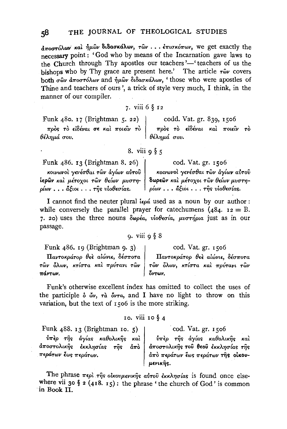$\frac{1}{2}a$ προπόλων και ήμων διδασκάλων, των ... έπισκόπων, we get exactly the necessary point: 'God who by means of the Incarnation gave laws to the Church through Thy apostles our teachers'—'teachers of us the hishops who by Thy grace are present here.' The article  $\tau \hat{\omega} v$  covers hoth  $\sigma \hat{\omega}$ ν αποστόλων and ήμων διδασκάλων, 'those who were apostles of Thine and teachers of ours', a trick of style very much, I think, in the manner of our compiler.

## 7. viii 6  $\delta$  12

Funk 480. 17 (Brightman 5. 22) codd. Vat. gr. 839, 1506 πρός το είδέναι σε και ποιείν το πρός το είδέναι και ποιείν το <sup>|</sup> θέλημά σου. θέλημά σου.

### 8. viii  $\alpha$   $\xi$

Funk 486. 13 (Brightman 8. 26) κοινωνοί γενέσθαι των άγίων αύτου ίερων και μέτοχοι των θείων μυστη- $\omega$  . . .  $\tilde{a}$   $\xi$   $\omega$  . . .  $\tau$   $\tilde{\eta}$ s  $\tilde{\upsilon}$   $\omega$   $\theta$   $\epsilon \sigma$   $\alpha$  s.

κοινωνοί γενέσθαι των άγίων αύτου δωρεών και μέτοχοι των θείων μυστη $ρίων$ ... $δξιοι$ ... $τη$ ς νίοθεσίας.

cod. Vat. gr. 1506

I cannot find the neuter plural  $i\epsilon \rho \acute{a}$  used as a noun by our author: while conversely the parallel prayer for catechumens  $(484. 12 = B.$ 7. 20) uses the three nouns  $\delta\omega\rho\epsilon\alpha$ ,  $\dot{\omega}\theta\epsilon\sigma\alpha$ ,  $\mu\nu\sigma\tau\dot{\eta}\rho\alpha$  just as in our passage.

## $9.$  viii  $988$

Funk  $486$ , 19 (Brightman 9. 3)

Παντοκράτορ θεὲ αἰώνιε, δέσποτα τῶν δλων, κτίστα και πρύτανι τῶν | πάντων.

Funk's otherwise excellent index has omitted to collect the uses of the participle  $\delta \phi v$ ,  $\tau \dot{\alpha} \dot{\delta} v \tau \dot{\alpha}$ , and I have no light to throw on this variation, but the text of 1506 is the more striking.

### 10. Viii 10  $\S$  4

Funk  $488.$  13 (Brightman 10. 5)  $\hat{v}\pi\hat{\epsilon}\rho$  της άγίας καθολικης και | <sup>άποστολικῆς</sup> ἐκκλησίας τῆς ἀπὸ περάτων ἔως περάτων.

The phrase  $\pi \epsilon \rho \hat{i}$   $\tau \hat{\eta}$ s οικουμενικής αύτου έκκλησίας is found once elsewhere vii 30 § 2 (418. 15): the phrase 'the church of God' is common in Book II.

LLEVIKTIS.

cod. Vat. gr. 1506

Παντοκράτορ θεε αίώνιε, δέσποτα τῶν ὅλων, κτίστα και πρύτανι τῶν όντων.

cod. Vat. gr. 1506

άποστολικής του θεου έκκλησίας της

άπο περάτων έως περάτων της οίκου-

ύπερ της άγίας καθολικής και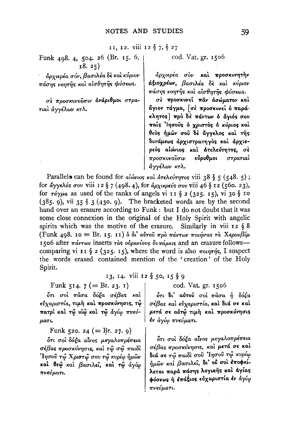11, 12. viii 12 § 7, § 27

Funk 498. 4, 504. 26 (Br. 15. 6,  $18.25)$ 

αρχιερέα σόν, βασιλέα δε και κύριον πάσης νοητής και αισθητής φύσεως.

σε προσκυνούσιν ανάριθμοι στρατιαί άγγέλων κτλ.

### cod. Vat. gr. 1506

άρχιερέα σὸν καὶ προσκυνητὴν άξιοχρέων, βασιλέα δε και κύριον πάσης νοητής και αισθητής φύσεως.

σε προσκυνεί παν ασώματον και άγιον τάγμα, [σε προσκυνει ο παράκλητος πρό δε πάντων ό άγιός σου παΐς Ίησους ό χριστός ό κύριος και θεός ήμων σου δε άγγελος και της δυνάμεως αρχιστρατηγός και αρχιερεύς αιώνιος και άτελεύτητος, σε<br>προσκυνούσιν εύρυθμοι στρατιαί<br>άγγέλων κτλ.

Parallels can be found for alώvios και άτελεύτητος viii 38 § 5 (548. 5); for άγγελός σου viii 12 § 7 (498. 4), for άρχιερεύς σου viii 46 § 12 (560. 23), for  $\tau \acute{a}\gamma \mu a$  as used of the ranks of angels vi 11 § 2 (325. 15), vi 30 § 10  $(385.9)$ , vii 35 § 3 (430.9). The bracketed words are by the second hand over an erasure according to Funk : but I do not doubt that it was some close connexion in the original of the Holy Spirit with angelic spirits which was the motive of the erasure. Similarly in viii  $z \S 8$ (Funk 498. 10 = Br. 15. 11) ο δι' αύτου προ πάντων ποιήσας τα Χερουβίμ 1506 after πάντων inserts τας ουρανίους δυνάμεις and an erasure followscomparing vi 11 § 2 (325. 15), where the word is also  $\pi$ ount is a suspect the words erased contained mention of the 'creation' of the Holy Spirit.

## 13, 14. viii 12 § 50, 15 § 9

Funk 514.  $7 (= Br. 23. 1)$ 

δτι σοὶ πᾶσα δόξα σέβας καὶ εύχαριστία, τιμή και προσκύνησις, τω πατρὶ καὶ τῷ υἱῷ καὶ τῷ ἀγίῳ πνεύ- $\mu$ a $\tau$ i.

Funk 520. 24 (= Br. 27. 9)

δτι σοι δόξα αίνος μεγαλοπρέπεια σέβας προσκύνησις, και τω σώ παιδι Ίησοῦ τῷ Χριστῷ σου τῷ κυρίῳ ἡμῶν καί θεώ και βασιλεί, και τώ άγίω πνεύματι.

### cod. Vat. gr. 1506

δτι δι' αύτου σοι πάσα ή δόξα σέβας και εύχαριστία, και διά σε και μετά σε αύτώ τιμή και προσκύνησις έν άγίω πνεύματι.

ότι σοι δόξα αίνος μεγαλοπρέπεια σέβας προσκύνησις, και μετά σε και διά σε τώ παιδί σου 'Ιησού τώ κυρίω ήμων και βασιλεί, δι' ού σοι εποφείλεται παρά πάσης λογικής και άγίας φύσεως ή επάξιος εύχαριστία εν άγίω πνεύματι.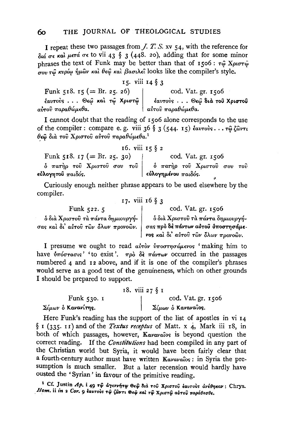I repeat these two passages from  $J.$   $T.$   $S.$   $xv$   $54$ , with the reference for  $\delta u$   $\sigma \epsilon$  και μετά σε to vii 43 § 3 (448. 20), adding that for some minor phrases the text of Funk may be better than that of 1506:  $\tau \hat{\omega}$  X $\rho \omega \tau \hat{\omega}$  $\tau_{\alpha}$  τω κυρίω ήμων και θεώ και βασιλεί looks like the compiler's style.

15. viii 14  $§$  3 Funk 518. 15 (= Br. 25. 26) cod. Vat. gr. 1506<br>
έαυτούς ... Θεώ και τώ Χριστώ | έαυτούς ... Θεώ δια του Χριστου<br>
αύτου παραθώμεθα.

I cannot doubt that the reading of 1506 alone corresponds to the use of the compiler : compare e.g. viii 36 § 3 (544. 15) έαυτούς... τώ ζώντι θεω διά του Χριστού αύτου παραθώμεθα.<sup>1</sup>

| τb. | V111 |    | ξ |  |
|-----|------|----|---|--|
|     |      | 15 |   |  |
|     |      |    |   |  |

| Funk 518. 17 (= Br. 25. 30) | cod. Vat. gr. 1506                                               |  |  |
|-----------------------------|------------------------------------------------------------------|--|--|
|                             | $\delta$ πατήρ του Χριστου σου του   δ πατήρ του Χριστου σου του |  |  |
| εὐλογητοῦ παιδός.           | $\mid$ εὐλογημένου $\pi a$ ιδός.                                 |  |  |

Curiously enough neither phrase appears to be used elsewhere by the compiler. 17. viii 16 § 3

| Funk $522.5$                        | cod. Vat. gr. 1506                         |  |
|-------------------------------------|--------------------------------------------|--|
| δ διὰ Χριστοῦ τὰ πάντα δημιουργή-   | δ διà Χριστοῦ τà πάντα δημιουργή-          |  |
| σας καὶ δι' αὐτοῦ τῶν ὅλων προνοῶν. | σας πρό δέ πάντων αύτου ύποστησάμε-        |  |
|                                     | <b>νος και δι' αίπου πών δλων προνούν.</b> |  |

I presume we ought to read αύτον ύποστησάμενος 'making him to have  $\delta\pi\acute{o}\sigma\tau\acute{a}\sigma\iota\varsigma'$  'to exist'.  $\pi\rho\grave{o}$   $\delta\grave{\epsilon}$   $\pi\acute{a}\nu\tau\omega\nu$  occurred in the passages numbered 4 and 12 above, and if it is one of the compiler's phrases would serve as a good test of the genuineness, which on other grounds I should be prepared to support.

|                    | 18. viii 27 § 1    |
|--------------------|--------------------|
| Funk 530. I        | cod. Vat. gr. 1506 |
| Σίμων δ Κανανίτης. | Σίμων δ Καναναΐος. |

Here Funk's reading has the support of the list of apostles in vi 14 § 1 (335. 11) and of the Textus receptus of Matt. x 4, Mark iii 18, in both of which passages, however, Kavavaios is beyond question the correct reading. If the Constitutions had been compiled in any part of the Christian world but Syria, it would have been fairly clear that a fourth-century author must have written Kavavaios: in Syria the presumption is much smaller. But a later recension would hardly have ousted the 'Syrian' in favour of the primitive reading.

<sup>1</sup> Cf. Justin Ap. i 49 τω άγεννήτω Θεώ διά του Χριστού έαυτούς άνέθηκαν: Chrys. Hom. ii in 2 Cor. 9 εαυτούς τω ζώντι Θεώ και τω Χριστώ αυτού παράθεσθε.